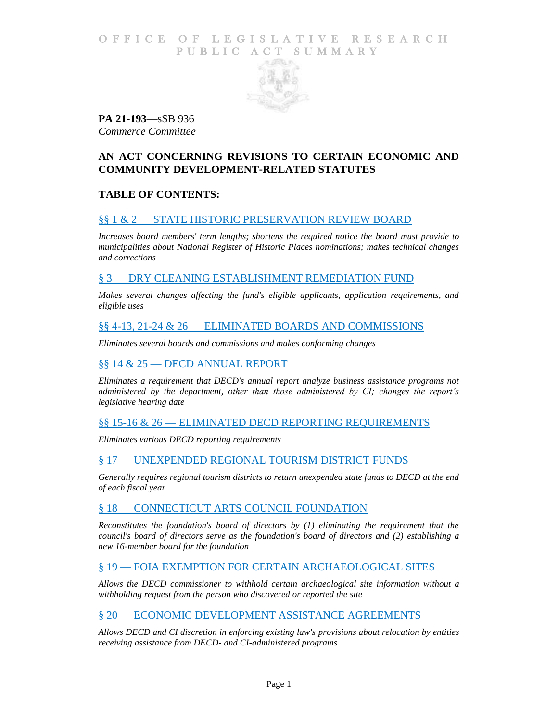## O F F I C E O F L E G I S L A T I V E R E S E A R C H PUBLIC ACT SUMMARY



**PA 21-193**—sSB 936 *Commerce Committee*

# **AN ACT CONCERNING REVISIONS TO CERTAIN ECONOMIC AND COMMUNITY DEVELOPMENT-RELATED STATUTES**

# **TABLE OF CONTENTS:**

## §§ 1 & 2 — [STATE HISTORIC PRESERVATION REVIEW BOARD](#page-1-0)

*[Increases board members' term lengths; shortens the required notice the](#page-1-1) board must provide to [municipalities about National Register of Historic Places nominations; makes technical changes](#page-1-1)  [and corrections](#page-1-1)*

## § 3 — [DRY CLEANING ESTABLISHMENT REMEDIATION FUND](#page-1-2)

*[Makes several changes affecting the fund's eligible applicants, application requirements, and](#page-1-3)  [eligible uses](#page-1-3)*

### §§ 4-13, 21-24 & 26 — [ELIMINATED BOARDS AND COMMISSIONS](#page-2-0)

*[Eliminates several boards and commissions and makes conforming changes](#page-2-1)*

## §§ 14 & 25 — [DECD ANNUAL REPORT](#page-3-0)

*[Eliminates a requirement that DECD's annual report analyze business assistance programs not](#page-3-1)  [administered by the department, other than those administered by CI; changes the report's](#page-3-1)  [legislative hearing date](#page-3-1)*

### §§ 15-16 & 26 — [ELIMINATED DECD REPORTING REQUIREMENTS](#page-4-0)

*[Eliminates various DECD reporting requirements](#page-4-1)*

### § 17 — [UNEXPENDED REGIONAL TOURISM DISTRICT FUNDS](#page-4-2)

*[Generally requires regional tourism districts to return unexpended state funds to DECD at the end](#page-4-3)  [of each fiscal year](#page-4-3)*

### § 18 — [CONNECTICUT ARTS COUNCIL FOUNDATION](#page-4-4)

*[Reconstitutes the foundation's board of directors by \(1\) eliminating the requirement that the](#page-4-5)  [council's board of directors serve as the foundation's board of directors and \(2\)](#page-4-5) establishing a [new 16-member board for the foundation](#page-4-5)*

## § 19 — [FOIA EXEMPTION FOR CERTAIN ARCHAEOLOGICAL SITES](#page-5-0)

*[Allows the DECD commissioner to withhold certain archaeological site information without a](#page-5-1)  [withholding request from the person who discovered or reported the site](#page-5-1)*

### § 20 — ECONOMIC DEVELOPMENT [ASSISTANCE AGREEMENTS](#page-5-2)

*[Allows DECD and CI discretion in enforcing existing law's provisions about relocation by entities](#page-5-3)  [receiving assistance from DECD-](#page-5-3) and CI-administered programs*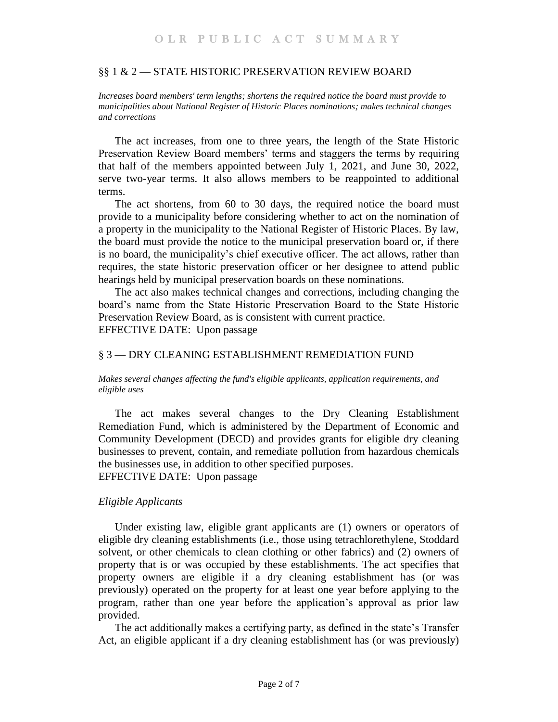### <span id="page-1-0"></span>§§ 1 & 2 — STATE HISTORIC PRESERVATION REVIEW BOARD

<span id="page-1-1"></span>*Increases board members' term lengths; shortens the required notice the board must provide to municipalities about National Register of Historic Places nominations; makes technical changes and corrections*

The act increases, from one to three years, the length of the State Historic Preservation Review Board members' terms and staggers the terms by requiring that half of the members appointed between July 1, 2021, and June 30, 2022, serve two-year terms. It also allows members to be reappointed to additional terms.

The act shortens, from 60 to 30 days, the required notice the board must provide to a municipality before considering whether to act on the nomination of a property in the municipality to the National Register of Historic Places. By law, the board must provide the notice to the municipal preservation board or, if there is no board, the municipality's chief executive officer. The act allows, rather than requires, the state historic preservation officer or her designee to attend public hearings held by municipal preservation boards on these nominations.

The act also makes technical changes and corrections, including changing the board's name from the State Historic Preservation Board to the State Historic Preservation Review Board, as is consistent with current practice. EFFECTIVE DATE: Upon passage

### <span id="page-1-2"></span>§ 3 — DRY CLEANING ESTABLISHMENT REMEDIATION FUND

#### <span id="page-1-3"></span>*Makes several changes affecting the fund's eligible applicants, application requirements, and eligible uses*

The act makes several changes to the Dry Cleaning Establishment Remediation Fund, which is administered by the Department of Economic and Community Development (DECD) and provides grants for eligible dry cleaning businesses to prevent, contain, and remediate pollution from hazardous chemicals the businesses use, in addition to other specified purposes. EFFECTIVE DATE: Upon passage

#### *Eligible Applicants*

Under existing law, eligible grant applicants are (1) owners or operators of eligible dry cleaning establishments (i.e., those using tetrachlorethylene, Stoddard solvent, or other chemicals to clean clothing or other fabrics) and (2) owners of property that is or was occupied by these establishments. The act specifies that property owners are eligible if a dry cleaning establishment has (or was previously) operated on the property for at least one year before applying to the program, rather than one year before the application's approval as prior law provided.

The act additionally makes a certifying party, as defined in the state's Transfer Act, an eligible applicant if a dry cleaning establishment has (or was previously)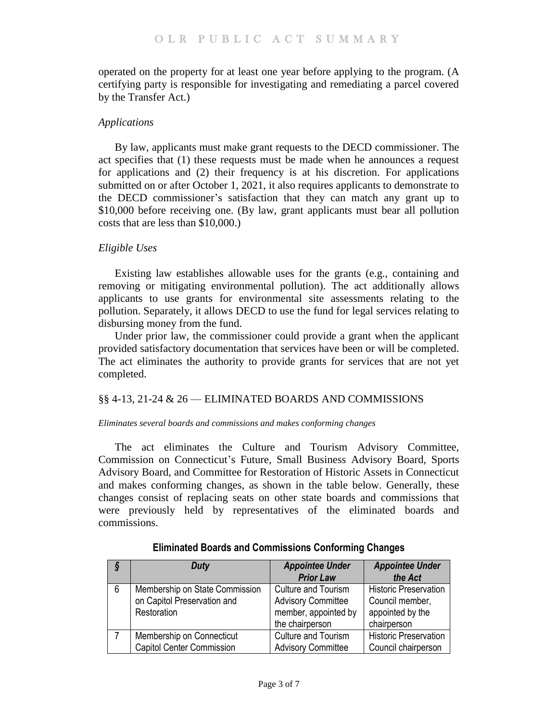operated on the property for at least one year before applying to the program. (A certifying party is responsible for investigating and remediating a parcel covered by the Transfer Act.)

## *Applications*

By law, applicants must make grant requests to the DECD commissioner. The act specifies that (1) these requests must be made when he announces a request for applications and (2) their frequency is at his discretion. For applications submitted on or after October 1, 2021, it also requires applicants to demonstrate to the DECD commissioner's satisfaction that they can match any grant up to \$10,000 before receiving one. (By law, grant applicants must bear all pollution costs that are less than \$10,000.)

## *Eligible Uses*

Existing law establishes allowable uses for the grants (e.g., containing and removing or mitigating environmental pollution). The act additionally allows applicants to use grants for environmental site assessments relating to the pollution. Separately, it allows DECD to use the fund for legal services relating to disbursing money from the fund.

Under prior law, the commissioner could provide a grant when the applicant provided satisfactory documentation that services have been or will be completed. The act eliminates the authority to provide grants for services that are not yet completed.

## <span id="page-2-0"></span>§§ 4-13, 21-24 & 26 — ELIMINATED BOARDS AND COMMISSIONS

#### <span id="page-2-1"></span>*Eliminates several boards and commissions and makes conforming changes*

The act eliminates the Culture and Tourism Advisory Committee, Commission on Connecticut's Future, Small Business Advisory Board, Sports Advisory Board, and Committee for Restoration of Historic Assets in Connecticut and makes conforming changes, as shown in the table below. Generally, these changes consist of replacing seats on other state boards and commissions that were previously held by representatives of the eliminated boards and commissions.

| S   | <b>Duty</b>                                                                         | <b>Appointee Under</b><br><b>Prior Law</b>                                                         | <b>Appointee Under</b><br>the Act                                                  |
|-----|-------------------------------------------------------------------------------------|----------------------------------------------------------------------------------------------------|------------------------------------------------------------------------------------|
| - 6 | Membership on State Commission<br>on Capitol Preservation and<br><b>Restoration</b> | <b>Culture and Tourism</b><br><b>Advisory Committee</b><br>member, appointed by<br>the chairperson | <b>Historic Preservation</b><br>Council member,<br>appointed by the<br>chairperson |
|     | Membership on Connecticut<br><b>Capitol Center Commission</b>                       | <b>Culture and Tourism</b><br><b>Advisory Committee</b>                                            | <b>Historic Preservation</b><br>Council chairperson                                |

## **Eliminated Boards and Commissions Conforming Changes**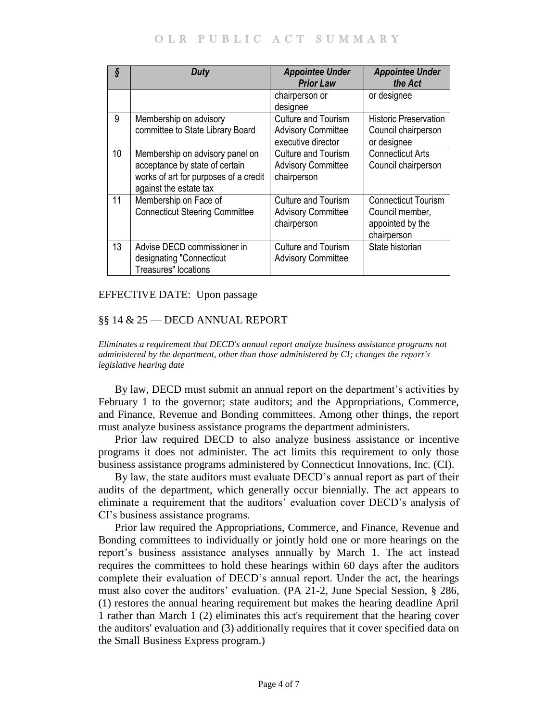| ş  | Duty                                                                                                                                 | <b>Appointee Under</b><br><b>Prior Law</b>                                    | <b>Appointee Under</b><br>the Act                                                |
|----|--------------------------------------------------------------------------------------------------------------------------------------|-------------------------------------------------------------------------------|----------------------------------------------------------------------------------|
|    |                                                                                                                                      | chairperson or<br>designee                                                    | or designee                                                                      |
| 9  | Membership on advisory<br>committee to State Library Board                                                                           | <b>Culture and Tourism</b><br><b>Advisory Committee</b><br>executive director | <b>Historic Preservation</b><br>Council chairperson<br>or designee               |
| 10 | Membership on advisory panel on<br>acceptance by state of certain<br>works of art for purposes of a credit<br>against the estate tax | Culture and Tourism<br><b>Advisory Committee</b><br>chairperson               | <b>Connecticut Arts</b><br>Council chairperson                                   |
| 11 | Membership on Face of<br><b>Connecticut Steering Committee</b>                                                                       | <b>Culture and Tourism</b><br><b>Advisory Committee</b><br>chairperson        | <b>Connecticut Tourism</b><br>Council member,<br>appointed by the<br>chairperson |
| 13 | Advise DECD commissioner in<br>designating "Connecticut<br><b>Treasures"</b> locations                                               | <b>Culture and Tourism</b><br><b>Advisory Committee</b>                       | State historian                                                                  |

EFFECTIVE DATE: Upon passage

### <span id="page-3-0"></span>§§ 14 & 25 — DECD ANNUAL REPORT

<span id="page-3-1"></span>*Eliminates a requirement that DECD's annual report analyze business assistance programs not administered by the department, other than those administered by CI; changes the report's legislative hearing date*

By law, DECD must submit an annual report on the department's activities by February 1 to the governor; state auditors; and the Appropriations, Commerce, and Finance, Revenue and Bonding committees. Among other things, the report must analyze business assistance programs the department administers.

Prior law required DECD to also analyze business assistance or incentive programs it does not administer. The act limits this requirement to only those business assistance programs administered by Connecticut Innovations, Inc. (CI).

By law, the state auditors must evaluate DECD's annual report as part of their audits of the department, which generally occur biennially. The act appears to eliminate a requirement that the auditors' evaluation cover DECD's analysis of CI's business assistance programs.

Prior law required the Appropriations, Commerce, and Finance, Revenue and Bonding committees to individually or jointly hold one or more hearings on the report's business assistance analyses annually by March 1. The act instead requires the committees to hold these hearings within 60 days after the auditors complete their evaluation of DECD's annual report. Under the act, the hearings must also cover the auditors' evaluation. (PA 21-2, June Special Session, § 286, (1) restores the annual hearing requirement but makes the hearing deadline April 1 rather than March 1 (2) eliminates this act's requirement that the hearing cover the auditors' evaluation and (3) additionally requires that it cover specified data on the Small Business Express program.)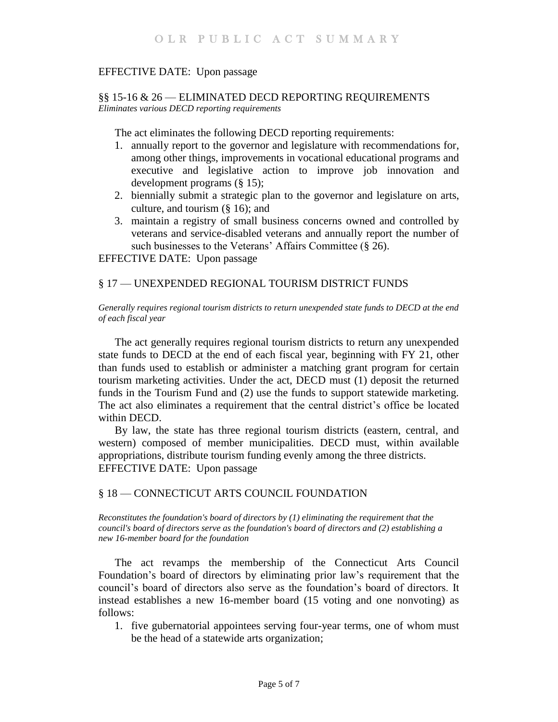## EFFECTIVE DATE: Upon passage

### <span id="page-4-1"></span><span id="page-4-0"></span>§§ 15-16 & 26 — ELIMINATED DECD REPORTING REQUIREMENTS *Eliminates various DECD reporting requirements*

The act eliminates the following DECD reporting requirements:

- 1. annually report to the governor and legislature with recommendations for, among other things, improvements in vocational educational programs and executive and legislative action to improve job innovation and development programs (§ 15);
- 2. biennially submit a strategic plan to the governor and legislature on arts, culture, and tourism (§ 16); and
- 3. maintain a registry of small business concerns owned and controlled by veterans and service-disabled veterans and annually report the number of such businesses to the Veterans' Affairs Committee (§ 26).

EFFECTIVE DATE: Upon passage

### <span id="page-4-2"></span>§ 17 — UNEXPENDED REGIONAL TOURISM DISTRICT FUNDS

<span id="page-4-3"></span>*Generally requires regional tourism districts to return unexpended state funds to DECD at the end of each fiscal year*

The act generally requires regional tourism districts to return any unexpended state funds to DECD at the end of each fiscal year, beginning with FY 21, other than funds used to establish or administer a matching grant program for certain tourism marketing activities. Under the act, DECD must (1) deposit the returned funds in the Tourism Fund and (2) use the funds to support statewide marketing. The act also eliminates a requirement that the central district's office be located within DECD.

By law, the state has three regional tourism districts (eastern, central, and western) composed of member municipalities. DECD must, within available appropriations, distribute tourism funding evenly among the three districts. EFFECTIVE DATE: Upon passage

### <span id="page-4-4"></span>§ 18 — CONNECTICUT ARTS COUNCIL FOUNDATION

<span id="page-4-5"></span>*Reconstitutes the foundation's board of directors by (1) eliminating the requirement that the council's board of directors serve as the foundation's board of directors and (2) establishing a new 16-member board for the foundation*

The act revamps the membership of the Connecticut Arts Council Foundation's board of directors by eliminating prior law's requirement that the council's board of directors also serve as the foundation's board of directors. It instead establishes a new 16-member board (15 voting and one nonvoting) as follows:

1. five gubernatorial appointees serving four-year terms, one of whom must be the head of a statewide arts organization;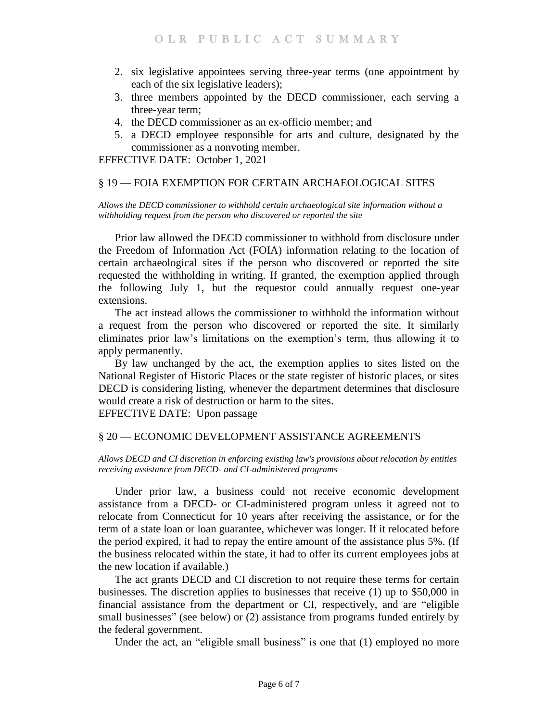- 2. six legislative appointees serving three-year terms (one appointment by each of the six legislative leaders);
- 3. three members appointed by the DECD commissioner, each serving a three-year term;
- 4. the DECD commissioner as an ex-officio member; and
- 5. a DECD employee responsible for arts and culture, designated by the commissioner as a nonvoting member.

EFFECTIVE DATE: October 1, 2021

## <span id="page-5-0"></span>§ 19 — FOIA EXEMPTION FOR CERTAIN ARCHAEOLOGICAL SITES

<span id="page-5-1"></span>*Allows the DECD commissioner to withhold certain archaeological site information without a withholding request from the person who discovered or reported the site*

Prior law allowed the DECD commissioner to withhold from disclosure under the Freedom of Information Act (FOIA) information relating to the location of certain archaeological sites if the person who discovered or reported the site requested the withholding in writing. If granted, the exemption applied through the following July 1, but the requestor could annually request one-year extensions.

The act instead allows the commissioner to withhold the information without a request from the person who discovered or reported the site. It similarly eliminates prior law's limitations on the exemption's term, thus allowing it to apply permanently.

By law unchanged by the act, the exemption applies to sites listed on the National Register of Historic Places or the state register of historic places, or sites DECD is considering listing, whenever the department determines that disclosure would create a risk of destruction or harm to the sites.

EFFECTIVE DATE: Upon passage

## <span id="page-5-2"></span>§ 20 — ECONOMIC DEVELOPMENT ASSISTANCE AGREEMENTS

<span id="page-5-3"></span>*Allows DECD and CI discretion in enforcing existing law's provisions about relocation by entities receiving assistance from DECD- and CI-administered programs*

Under prior law, a business could not receive economic development assistance from a DECD- or CI-administered program unless it agreed not to relocate from Connecticut for 10 years after receiving the assistance, or for the term of a state loan or loan guarantee, whichever was longer. If it relocated before the period expired, it had to repay the entire amount of the assistance plus 5%. (If the business relocated within the state, it had to offer its current employees jobs at the new location if available.)

The act grants DECD and CI discretion to not require these terms for certain businesses. The discretion applies to businesses that receive (1) up to \$50,000 in financial assistance from the department or CI, respectively, and are "eligible small businesses" (see below) or (2) assistance from programs funded entirely by the federal government.

Under the act, an "eligible small business" is one that (1) employed no more